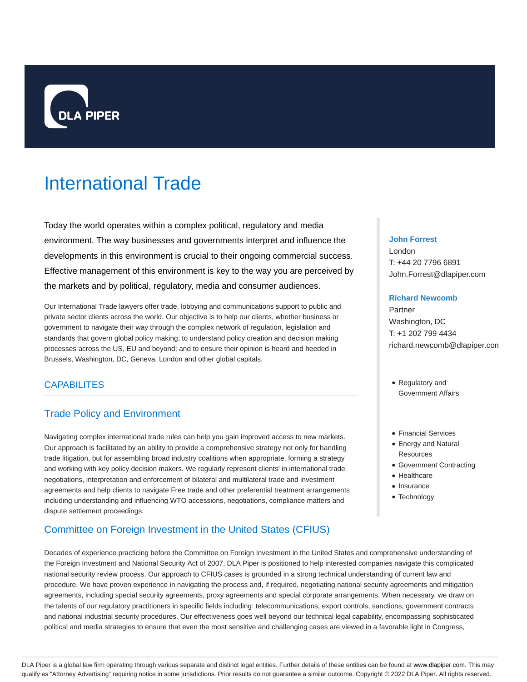

# International Trade

Today the world operates within a complex political, regulatory and media environment. The way businesses and governments interpret and influence the developments in this environment is crucial to their ongoing commercial success. Effective management of this environment is key to the way you are perceived by the markets and by political, regulatory, media and consumer audiences.

Our International Trade lawyers offer trade, lobbying and communications support to public and private sector clients across the world. Our objective is to help our clients, whether business or government to navigate their way through the complex network of regulation, legislation and standards that govern global policy making; to understand policy creation and decision making processes across the US, EU and beyond; and to ensure their opinion is heard and heeded in Brussels, Washington, DC, Geneva, London and other global capitals.

# **CAPABILITES**

# Trade Policy and Environment

Navigating complex international trade rules can help you gain improved access to new markets. Our approach is facilitated by an ability to provide a comprehensive strategy not only for handling trade litigation, but for assembling broad industry coalitions when appropriate, forming a strategy and working with key policy decision makers. We regularly represent clients' in international trade negotiations, interpretation and enforcement of bilateral and multilateral trade and investment agreements and help clients to navigate Free trade and other preferential treatment arrangements including understanding and influencing WTO accessions, negotiations, compliance matters and dispute settlement proceedings.

# Committee on Foreign Investment in the United States (CFIUS)

## **John Forrest**

London T: +44 20 7796 6891 John.Forrest@dlapiper.com

#### **Richard Newcomb**

Partner Washington, DC T: +1 202 799 4434 richard.newcomb@dlapiper.com

- Regulatory and Government Affairs
- Financial Services
- Energy and Natural **Resources**
- Government Contracting
- Healthcare
- Insurance
- Technology

Decades of experience practicing before the Committee on Foreign Investment in the United States and comprehensive understanding of the Foreign Investment and National Security Act of 2007, DLA Piper is positioned to help interested companies navigate this complicated national security review process. Our approach to CFIUS cases is grounded in a strong technical understanding of current law and procedure. We have proven experience in navigating the process and, if required, negotiating national security agreements and mitigation agreements, including special security agreements, proxy agreements and special corporate arrangements. When necessary, we draw on the talents of our regulatory practitioners in specific fields including: telecommunications, export controls, sanctions, government contracts and national industrial security procedures. Our effectiveness goes well beyond our technical legal capability, encompassing sophisticated political and media strategies to ensure that even the most sensitive and challenging cases are viewed in a favorable light in Congress,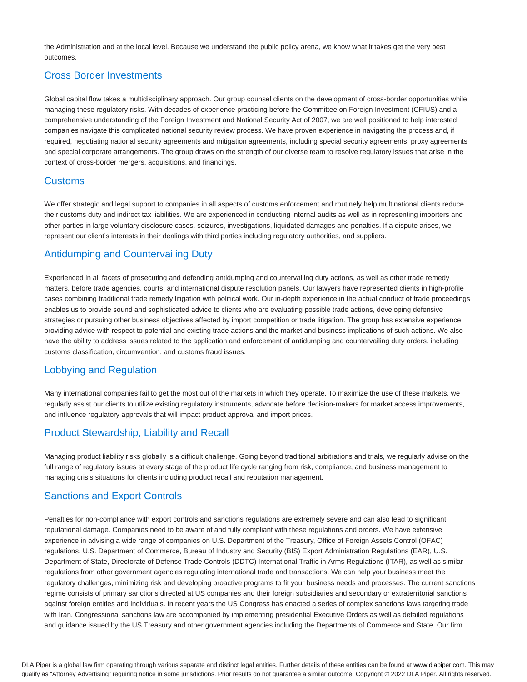the Administration and at the local level. Because we understand the public policy arena, we know what it takes get the very best outcomes.

# Cross Border Investments

Global capital flow takes a multidisciplinary approach. Our group counsel clients on the development of cross-border opportunities while managing these regulatory risks. With decades of experience practicing before the Committee on Foreign Investment (CFIUS) and a comprehensive understanding of the Foreign Investment and National Security Act of 2007, we are well positioned to help interested companies navigate this complicated national security review process. We have proven experience in navigating the process and, if required, negotiating national security agreements and mitigation agreements, including special security agreements, proxy agreements and special corporate arrangements. The group draws on the strength of our diverse team to resolve regulatory issues that arise in the context of cross-border mergers, acquisitions, and financings.

# Customs

We offer strategic and legal support to companies in all aspects of customs enforcement and routinely help multinational clients reduce their customs duty and indirect tax liabilities. We are experienced in conducting internal audits as well as in representing importers and other parties in large voluntary disclosure cases, seizures, investigations, liquidated damages and penalties. If a dispute arises, we represent our client's interests in their dealings with third parties including regulatory authorities, and suppliers.

# Antidumping and Countervailing Duty

Experienced in all facets of prosecuting and defending antidumping and countervailing duty actions, as well as other trade remedy matters, before trade agencies, courts, and international dispute resolution panels. Our lawyers have represented clients in high-profile cases combining traditional trade remedy litigation with political work. Our in-depth experience in the actual conduct of trade proceedings enables us to provide sound and sophisticated advice to clients who are evaluating possible trade actions, developing defensive strategies or pursuing other business objectives affected by import competition or trade litigation. The group has extensive experience providing advice with respect to potential and existing trade actions and the market and business implications of such actions. We also have the ability to address issues related to the application and enforcement of antidumping and countervailing duty orders, including customs classification, circumvention, and customs fraud issues.

# Lobbying and Regulation

Many international companies fail to get the most out of the markets in which they operate. To maximize the use of these markets, we regularly assist our clients to utilize existing regulatory instruments, advocate before decision-makers for market access improvements, and influence regulatory approvals that will impact product approval and import prices.

# Product Stewardship, Liability and Recall

Managing product liability risks globally is a difficult challenge. Going beyond traditional arbitrations and trials, we regularly advise on the full range of regulatory issues at every stage of the product life cycle ranging from risk, compliance, and business management to managing crisis situations for clients including product recall and reputation management.

# Sanctions and Export Controls

Penalties for non-compliance with export controls and sanctions regulations are extremely severe and can also lead to significant reputational damage. Companies need to be aware of and fully compliant with these regulations and orders. We have extensive experience in advising a wide range of companies on U.S. Department of the Treasury, Office of Foreign Assets Control (OFAC) regulations, U.S. Department of Commerce, Bureau of Industry and Security (BIS) Export Administration Regulations (EAR), U.S. Department of State, Directorate of Defense Trade Controls (DDTC) International Traffic in Arms Regulations (ITAR), as well as similar regulations from other government agencies regulating international trade and transactions. We can help your business meet the regulatory challenges, minimizing risk and developing proactive programs to fit your business needs and processes. The current sanctions regime consists of primary sanctions directed at US companies and their foreign subsidiaries and secondary or extraterritorial sanctions against foreign entities and individuals. In recent years the US Congress has enacted a series of complex sanctions laws targeting trade with Iran. Congressional sanctions law are accompanied by implementing presidential Executive Orders as well as detailed regulations and guidance issued by the US Treasury and other government agencies including the Departments of Commerce and State. Our firm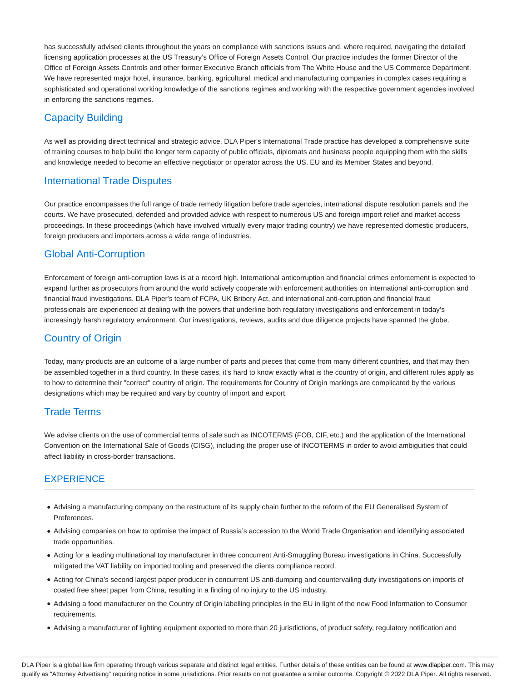has successfully advised clients throughout the years on compliance with sanctions issues and, where required, navigating the detailed licensing application processes at the US Treasury's Office of Foreign Assets Control. Our practice includes the former Director of the Office of Foreign Assets Controls and other former Executive Branch officials from The White House and the US Commerce Department. We have represented major hotel, insurance, banking, agricultural, medical and manufacturing companies in complex cases requiring a sophisticated and operational working knowledge of the sanctions regimes and working with the respective government agencies involved in enforcing the sanctions regimes.

# Capacity Building

As well as providing direct technical and strategic advice, DLA Piper's International Trade practice has developed a comprehensive suite of training courses to help build the longer term capacity of public officials, diplomats and business people equipping them with the skills and knowledge needed to become an effective negotiator or operator across the US, EU and its Member States and beyond.

# International Trade Disputes

Our practice encompasses the full range of trade remedy litigation before trade agencies, international dispute resolution panels and the courts. We have prosecuted, defended and provided advice with respect to numerous US and foreign import relief and market access proceedings. In these proceedings (which have involved virtually every major trading country) we have represented domestic producers, foreign producers and importers across a wide range of industries.

# Global Anti-Corruption

Enforcement of foreign anti-corruption laws is at a record high. International anticorruption and financial crimes enforcement is expected to expand further as prosecutors from around the world actively cooperate with enforcement authorities on international anti-corruption and financial fraud investigations. DLA Piper's team of FCPA, UK Bribery Act, and international anti-corruption and financial fraud professionals are experienced at dealing with the powers that underline both regulatory investigations and enforcement in today's increasingly harsh regulatory environment. Our investigations, reviews, audits and due diligence projects have spanned the globe.

# Country of Origin

Today, many products are an outcome of a large number of parts and pieces that come from many different countries, and that may then be assembled together in a third country. In these cases, it's hard to know exactly what is the country of origin, and different rules apply as to how to determine their "correct" country of origin. The requirements for Country of Origin markings are complicated by the various designations which may be required and vary by country of import and export.

# Trade Terms

We advise clients on the use of commercial terms of sale such as INCOTERMS (FOB, CIF, etc.) and the application of the International Convention on the International Sale of Goods (CISG), including the proper use of INCOTERMS in order to avoid ambiguities that could affect liability in cross-border transactions.

# **EXPERIENCE**

- Advising a manufacturing company on the restructure of its supply chain further to the reform of the EU Generalised System of Preferences.
- Advising companies on how to optimise the impact of Russia's accession to the World Trade Organisation and identifying associated trade opportunities.
- Acting for a leading multinational toy manufacturer in three concurrent Anti-Smuggling Bureau investigations in China. Successfully mitigated the VAT liability on imported tooling and preserved the clients compliance record.
- Acting for China's second largest paper producer in concurrent US anti-dumping and countervailing duty investigations on imports of coated free sheet paper from China, resulting in a finding of no injury to the US industry.
- Advising a food manufacturer on the Country of Origin labelling principles in the EU in light of the new Food Information to Consumer requirements.
- Advising a manufacturer of lighting equipment exported to more than 20 jurisdictions, of product safety, regulatory notification and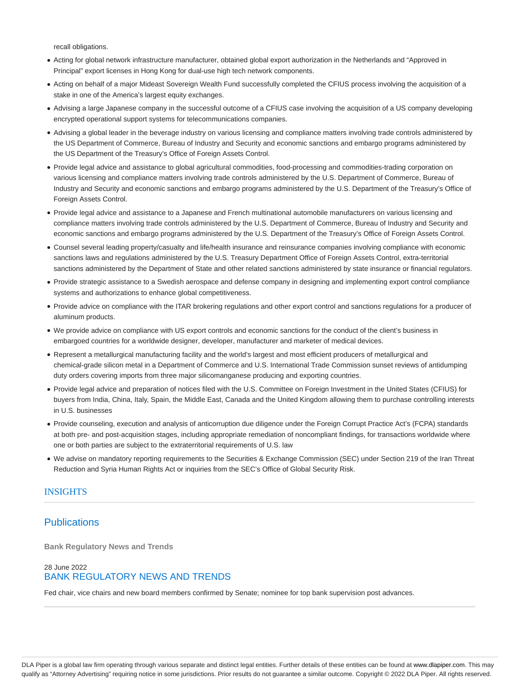recall obligations.

- Acting for global network infrastructure manufacturer, obtained global export authorization in the Netherlands and "Approved in Principal" export licenses in Hong Kong for dual-use high tech network components.
- Acting on behalf of a major Mideast Sovereign Wealth Fund successfully completed the CFIUS process involving the acquisition of a stake in one of the America's largest equity exchanges.
- Advising a large Japanese company in the successful outcome of a CFIUS case involving the acquisition of a US company developing encrypted operational support systems for telecommunications companies.
- Advising a global leader in the beverage industry on various licensing and compliance matters involving trade controls administered by the US Department of Commerce, Bureau of Industry and Security and economic sanctions and embargo programs administered by the US Department of the Treasury's Office of Foreign Assets Control.
- Provide legal advice and assistance to global agricultural commodities, food-processing and commodities-trading corporation on various licensing and compliance matters involving trade controls administered by the U.S. Department of Commerce, Bureau of Industry and Security and economic sanctions and embargo programs administered by the U.S. Department of the Treasury's Office of Foreign Assets Control.
- Provide legal advice and assistance to a Japanese and French multinational automobile manufacturers on various licensing and compliance matters involving trade controls administered by the U.S. Department of Commerce, Bureau of Industry and Security and economic sanctions and embargo programs administered by the U.S. Department of the Treasury's Office of Foreign Assets Control.
- Counsel several leading property/casualty and life/health insurance and reinsurance companies involving compliance with economic sanctions laws and regulations administered by the U.S. Treasury Department Office of Foreign Assets Control, extra-territorial sanctions administered by the Department of State and other related sanctions administered by state insurance or financial regulators.
- Provide strategic assistance to a Swedish aerospace and defense company in designing and implementing export control compliance systems and authorizations to enhance global competitiveness.
- Provide advice on compliance with the ITAR brokering regulations and other export control and sanctions regulations for a producer of aluminum products.
- We provide advice on compliance with US export controls and economic sanctions for the conduct of the client's business in embargoed countries for a worldwide designer, developer, manufacturer and marketer of medical devices.
- Represent a metallurgical manufacturing facility and the world's largest and most efficient producers of metallurgical and chemical-grade silicon metal in a Department of Commerce and U.S. International Trade Commission sunset reviews of antidumping duty orders covering imports from three major silicomanganese producing and exporting countries.
- Provide legal advice and preparation of notices filed with the U.S. Committee on Foreign Investment in the United States (CFIUS) for buyers from India, China, Italy, Spain, the Middle East, Canada and the United Kingdom allowing them to purchase controlling interests in U.S. businesses
- Provide counseling, execution and analysis of anticorruption due diligence under the Foreign Corrupt Practice Act's (FCPA) standards at both pre- and post-acquisition stages, including appropriate remediation of noncompliant findings, for transactions worldwide where one or both parties are subject to the extraterritorial requirements of U.S. law
- We advise on mandatory reporting requirements to the Securities & Exchange Commission (SEC) under Section 219 of the Iran Threat Reduction and Syria Human Rights Act or inquiries from the SEC's Office of Global Security Risk.

## **INSIGHTS**

# **Publications**

**Bank Regulatory News and Trends**

## 28 June 2022 BANK REGULATORY NEWS AND TRENDS

Fed chair, vice chairs and new board members confirmed by Senate; nominee for top bank supervision post advances.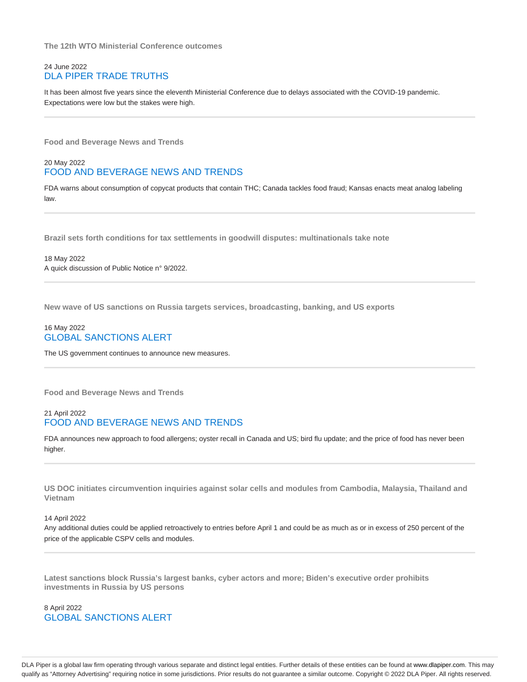**The 12th WTO Ministerial Conference outcomes**

## 24 June 2022 DLA PIPER TRADE TRUTHS

It has been almost five years since the eleventh Ministerial Conference due to delays associated with the COVID-19 pandemic. Expectations were low but the stakes were high.

**Food and Beverage News and Trends**

## 20 May 2022 FOOD AND BEVERAGE NEWS AND TRENDS

FDA warns about consumption of copycat products that contain THC; Canada tackles food fraud; Kansas enacts meat analog labeling law.

**Brazil sets forth conditions for tax settlements in goodwill disputes: multinationals take note**

18 May 2022 A quick discussion of Public Notice n° 9/2022.

**New wave of US sanctions on Russia targets services, broadcasting, banking, and US exports**

#### 16 May 2022 GLOBAL SANCTIONS ALERT

The US government continues to announce new measures.

**Food and Beverage News and Trends**

#### 21 April 2022 FOOD AND BEVERAGE NEWS AND TRENDS

FDA announces new approach to food allergens; oyster recall in Canada and US; bird flu update; and the price of food has never been higher.

**US DOC initiates circumvention inquiries against solar cells and modules from Cambodia, Malaysia, Thailand and Vietnam**

#### 14 April 2022

Any additional duties could be applied retroactively to entries before April 1 and could be as much as or in excess of 250 percent of the price of the applicable CSPV cells and modules.

**Latest sanctions block Russia's largest banks, cyber actors and more; Biden's executive order prohibits investments in Russia by US persons**

8 April 2022 GLOBAL SANCTIONS ALERT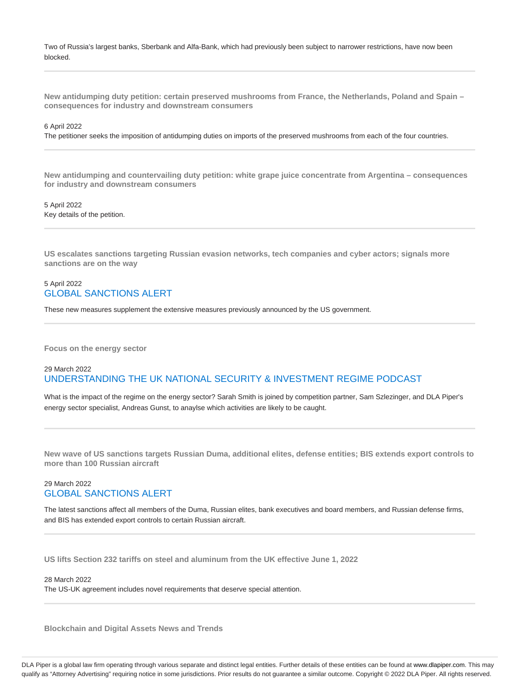Two of Russia's largest banks, Sberbank and Alfa-Bank, which had previously been subject to narrower restrictions, have now been blocked.

**New antidumping duty petition: certain preserved mushrooms from France, the Netherlands, Poland and Spain – consequences for industry and downstream consumers**

#### 6 April 2022

The petitioner seeks the imposition of antidumping duties on imports of the preserved mushrooms from each of the four countries.

**New antidumping and countervailing duty petition: white grape juice concentrate from Argentina – consequences for industry and downstream consumers**

5 April 2022 Key details of the petition.

**US escalates sanctions targeting Russian evasion networks, tech companies and cyber actors; signals more sanctions are on the way**

#### 5 April 2022 GLOBAL SANCTIONS ALERT

These new measures supplement the extensive measures previously announced by the US government.

**Focus on the energy sector**

## 29 March 2022 UNDERSTANDING THE UK NATIONAL SECURITY & INVESTMENT REGIME PODCAST

What is the impact of the regime on the energy sector? Sarah Smith is joined by competition partner, Sam Szlezinger, and DLA Piper's energy sector specialist, Andreas Gunst, to anaylse which activities are likely to be caught.

**New wave of US sanctions targets Russian Duma, additional elites, defense entities; BIS extends export controls to more than 100 Russian aircraft**

## 29 March 2022 GLOBAL SANCTIONS ALERT

The latest sanctions affect all members of the Duma, Russian elites, bank executives and board members, and Russian defense firms, and BIS has extended export controls to certain Russian aircraft.

**US lifts Section 232 tariffs on steel and aluminum from the UK effective June 1, 2022**

#### 28 March 2022

The US-UK agreement includes novel requirements that deserve special attention.

**Blockchain and Digital Assets News and Trends**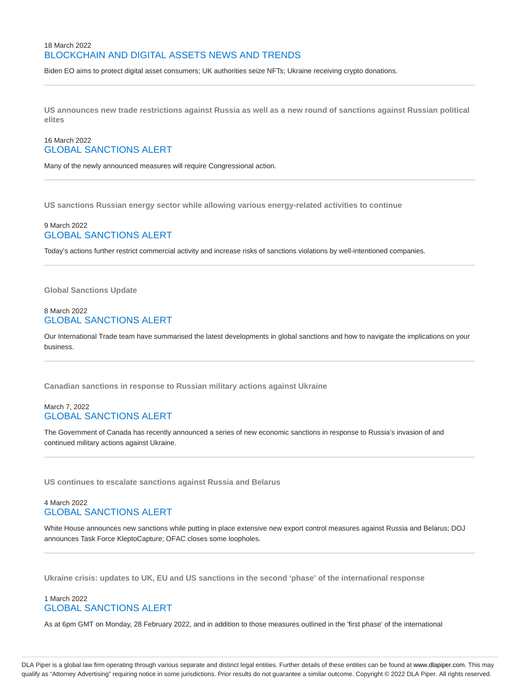## 18 March 2022 BLOCKCHAIN AND DIGITAL ASSETS NEWS AND TRENDS

Biden EO aims to protect digital asset consumers; UK authorities seize NFTs; Ukraine receiving crypto donations.

**US announces new trade restrictions against Russia as well as a new round of sanctions against Russian political elites**

## 16 March 2022 GLOBAL SANCTIONS ALERT

Many of the newly announced measures will require Congressional action.

**US sanctions Russian energy sector while allowing various energy-related activities to continue**

#### 9 March 2022 GLOBAL SANCTIONS ALERT

Today's actions further restrict commercial activity and increase risks of sanctions violations by well-intentioned companies.

**Global Sanctions Update**

#### 8 March 2022 GLOBAL SANCTIONS ALERT

Our International Trade team have summarised the latest developments in global sanctions and how to navigate the implications on your business.

**Canadian sanctions in response to Russian military actions against Ukraine**

#### March 7, 2022 GLOBAL SANCTIONS ALERT

The Government of Canada has recently announced a series of new economic sanctions in response to Russia's invasion of and continued military actions against Ukraine.

**US continues to escalate sanctions against Russia and Belarus**

## 4 March 2022 GLOBAL SANCTIONS ALERT

White House announces new sanctions while putting in place extensive new export control measures against Russia and Belarus; DOJ announces Task Force KleptoCapture; OFAC closes some loopholes.

**Ukraine crisis: updates to UK, EU and US sanctions in the second 'phase' of the international response**

# 1 March 2022 GLOBAL SANCTIONS ALERT

As at 6pm GMT on Monday, 28 February 2022, and in addition to those measures outlined in the 'first phase' of the international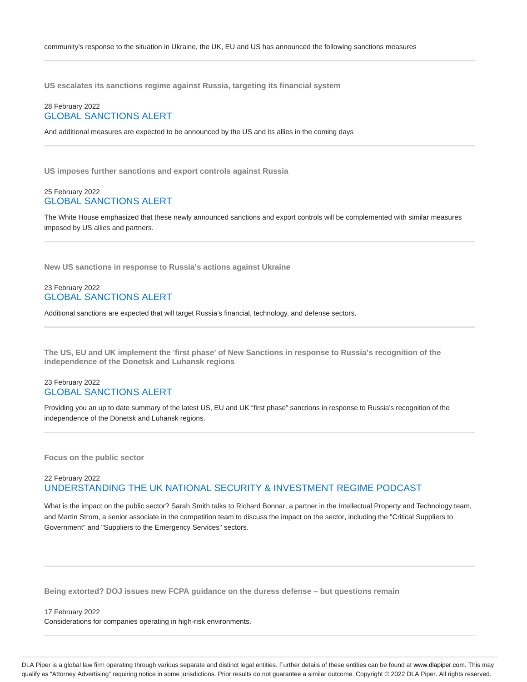**US escalates its sanctions regime against Russia, targeting its financial system**

#### 28 February 2022 GLOBAL SANCTIONS ALERT

And additional measures are expected to be announced by the US and its allies in the coming days

**US imposes further sanctions and export controls against Russia**

#### 25 February 2022 GLOBAL SANCTIONS ALERT

The White House emphasized that these newly announced sanctions and export controls will be complemented with similar measures imposed by US allies and partners.

**New US sanctions in response to Russia's actions against Ukraine**

#### 23 February 2022 GLOBAL SANCTIONS ALERT

Additional sanctions are expected that will target Russia's financial, technology, and defense sectors.

**The US, EU and UK implement the 'first phase' of New Sanctions in response to Russia's recognition of the independence of the Donetsk and Luhansk regions**

#### 23 February 2022 GLOBAL SANCTIONS ALERT

Providing you an up to date summary of the latest US, EU and UK "first phase" sanctions in response to Russia's recognition of the independence of the Donetsk and Luhansk regions.

**Focus on the public sector**

## 22 February 2022 UNDERSTANDING THE UK NATIONAL SECURITY & INVESTMENT REGIME PODCAST

What is the impact on the public sector? Sarah Smith talks to Richard Bonnar, a partner in the Intellectual Property and Technology team, and Martin Strom, a senior associate in the competition team to discuss the impact on the sector, including the "Critical Suppliers to Government" and "Suppliers to the Emergency Services" sectors.

**Being extorted? DOJ issues new FCPA guidance on the duress defense – but questions remain**

#### 17 February 2022

Considerations for companies operating in high-risk environments.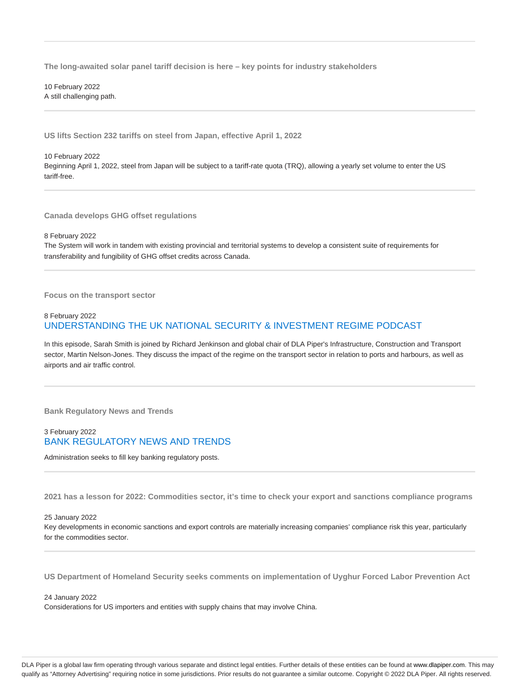**The long-awaited solar panel tariff decision is here – key points for industry stakeholders**

10 February 2022 A still challenging path.

**US lifts Section 232 tariffs on steel from Japan, effective April 1, 2022**

#### 10 February 2022 Beginning April 1, 2022, steel from Japan will be subject to a tariff-rate quota (TRQ), allowing a yearly set volume to enter the US tariff-free.

**Canada develops GHG offset regulations**

8 February 2022

The System will work in tandem with existing provincial and territorial systems to develop a consistent suite of requirements for transferability and fungibility of GHG offset credits across Canada.

**Focus on the transport sector**

#### 8 February 2022 UNDERSTANDING THE UK NATIONAL SECURITY & INVESTMENT REGIME PODCAST

In this episode, Sarah Smith is joined by Richard Jenkinson and global chair of DLA Piper's Infrastructure, Construction and Transport sector, Martin Nelson-Jones. They discuss the impact of the regime on the transport sector in relation to ports and harbours, as well as airports and air traffic control.

**Bank Regulatory News and Trends**

#### 3 February 2022 BANK REGULATORY NEWS AND TRENDS

Administration seeks to fill key banking regulatory posts.

**2021 has a lesson for 2022: Commodities sector, it's time to check your export and sanctions compliance programs**

25 January 2022

Key developments in economic sanctions and export controls are materially increasing companies' compliance risk this year, particularly for the commodities sector.

**US Department of Homeland Security seeks comments on implementation of Uyghur Forced Labor Prevention Act**

24 January 2022 Considerations for US importers and entities with supply chains that may involve China.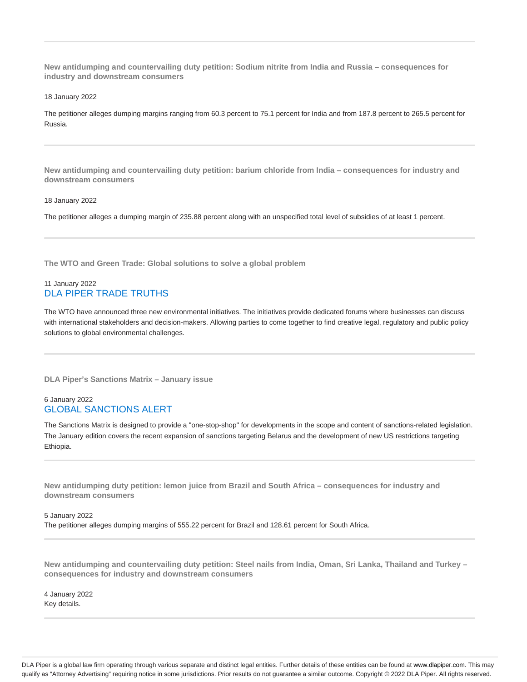**New antidumping and countervailing duty petition: Sodium nitrite from India and Russia – consequences for industry and downstream consumers**

18 January 2022

The petitioner alleges dumping margins ranging from 60.3 percent to 75.1 percent for India and from 187.8 percent to 265.5 percent for Russia.

**New antidumping and countervailing duty petition: barium chloride from India – consequences for industry and downstream consumers**

#### 18 January 2022

The petitioner alleges a dumping margin of 235.88 percent along with an unspecified total level of subsidies of at least 1 percent.

**The WTO and Green Trade: Global solutions to solve a global problem**

#### 11 January 2022 DLA PIPER TRADE TRUTHS

The WTO have announced three new environmental initiatives. The initiatives provide dedicated forums where businesses can discuss with international stakeholders and decision-makers. Allowing parties to come together to find creative legal, regulatory and public policy solutions to global environmental challenges.

**DLA Piper's Sanctions Matrix – January issue**

## 6 January 2022 GLOBAL SANCTIONS ALERT

The Sanctions Matrix is designed to provide a "one-stop-shop" for developments in the scope and content of sanctions-related legislation. The January edition covers the recent expansion of sanctions targeting Belarus and the development of new US restrictions targeting Ethiopia.

**New antidumping duty petition: lemon juice from Brazil and South Africa – consequences for industry and downstream consumers**

5 January 2022 The petitioner alleges dumping margins of 555.22 percent for Brazil and 128.61 percent for South Africa.

**New antidumping and countervailing duty petition: Steel nails from India, Oman, Sri Lanka, Thailand and Turkey – consequences for industry and downstream consumers**

4 January 2022 Key details.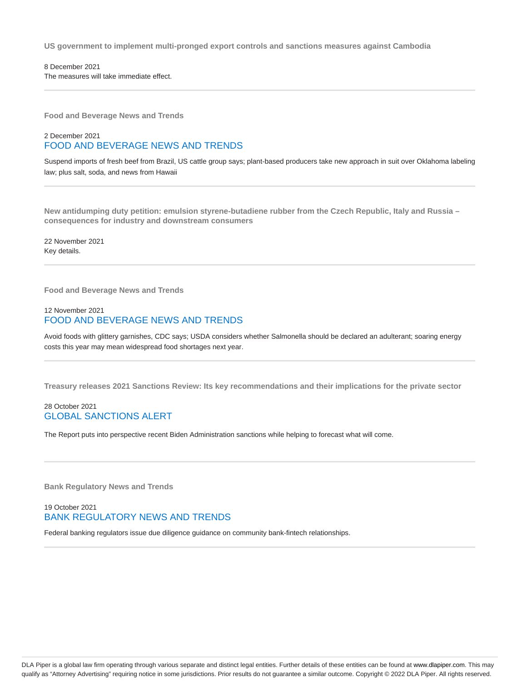**US government to implement multi-pronged export controls and sanctions measures against Cambodia**

8 December 2021 The measures will take immediate effect.

**Food and Beverage News and Trends**

#### 2 December 2021 FOOD AND BEVERAGE NEWS AND TRENDS

Suspend imports of fresh beef from Brazil, US cattle group says; plant-based producers take new approach in suit over Oklahoma labeling law; plus salt, soda, and news from Hawaii

**New antidumping duty petition: emulsion styrene-butadiene rubber from the Czech Republic, Italy and Russia – consequences for industry and downstream consumers**

22 November 2021 Key details.

**Food and Beverage News and Trends**

#### 12 November 2021 FOOD AND BEVERAGE NEWS AND TRENDS

Avoid foods with glittery garnishes, CDC says; USDA considers whether Salmonella should be declared an adulterant; soaring energy costs this year may mean widespread food shortages next year.

**Treasury releases 2021 Sanctions Review: Its key recommendations and their implications for the private sector**

## 28 October 2021 GLOBAL SANCTIONS ALERT

The Report puts into perspective recent Biden Administration sanctions while helping to forecast what will come.

**Bank Regulatory News and Trends**

## 19 October 2021 BANK REGULATORY NEWS AND TRENDS

Federal banking regulators issue due diligence guidance on community bank-fintech relationships.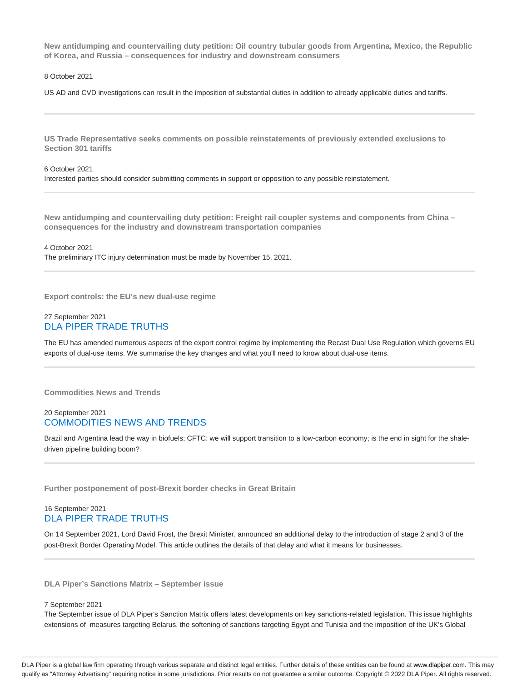**New antidumping and countervailing duty petition: Oil country tubular goods from Argentina, Mexico, the Republic of Korea, and Russia – consequences for industry and downstream consumers**

8 October 2021

US AD and CVD investigations can result in the imposition of substantial duties in addition to already applicable duties and tariffs.

**US Trade Representative seeks comments on possible reinstatements of previously extended exclusions to Section 301 tariffs**

6 October 2021 Interested parties should consider submitting comments in support or opposition to any possible reinstatement.

**New antidumping and countervailing duty petition: Freight rail coupler systems and components from China – consequences for the industry and downstream transportation companies**

4 October 2021 The preliminary ITC injury determination must be made by November 15, 2021.

**Export controls: the EU's new dual-use regime**

#### 27 September 2021 DLA PIPER TRADE TRUTHS

The EU has amended numerous aspects of the export control regime by implementing the Recast Dual Use Regulation which governs EU exports of dual-use items. We summarise the key changes and what you'll need to know about dual-use items.

**Commodities News and Trends**

## 20 September 2021 COMMODITIES NEWS AND TRENDS

Brazil and Argentina lead the way in biofuels; CFTC: we will support transition to a low-carbon economy; is the end in sight for the shaledriven pipeline building boom?

**Further postponement of post-Brexit border checks in Great Britain**

#### 16 September 2021 DLA PIPER TRADE TRUTHS

On 14 September 2021, Lord David Frost, the Brexit Minister, announced an additional delay to the introduction of stage 2 and 3 of the post-Brexit Border Operating Model. This article outlines the details of that delay and what it means for businesses.

**DLA Piper's Sanctions Matrix – September issue**

7 September 2021

The September issue of DLA Piper's Sanction Matrix offers latest developments on key sanctions-related legislation. This issue highlights extensions of measures targeting Belarus, the softening of sanctions targeting Egypt and Tunisia and the imposition of the UK's Global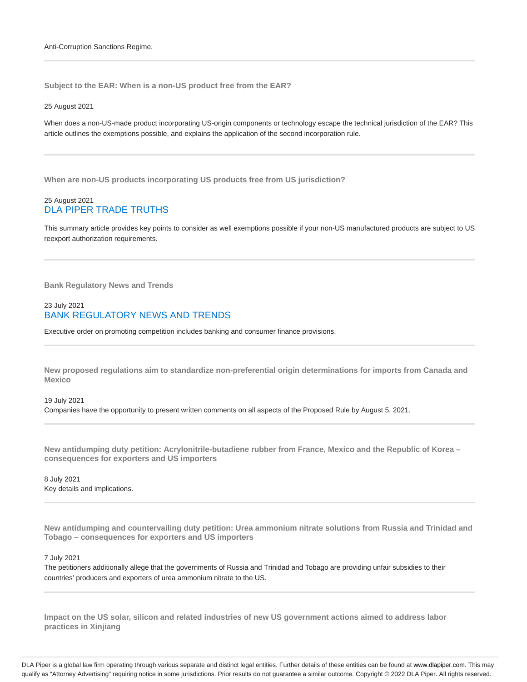**Subject to the EAR: When is a non-US product free from the EAR?**

#### 25 August 2021

When does a non-US-made product incorporating US-origin components or technology escape the technical jurisdiction of the EAR? This article outlines the exemptions possible, and explains the application of the second incorporation rule.

**When are non-US products incorporating US products free from US jurisdiction?**

#### 25 August 2021 DLA PIPER TRADE TRUTHS

This summary article provides key points to consider as well exemptions possible if your non-US manufactured products are subject to US reexport authorization requirements.

**Bank Regulatory News and Trends**

#### 23 July 2021 BANK REGULATORY NEWS AND TRENDS

Executive order on promoting competition includes banking and consumer finance provisions.

**New proposed regulations aim to standardize non-preferential origin determinations for imports from Canada and Mexico**

19 July 2021 Companies have the opportunity to present written comments on all aspects of the Proposed Rule by August 5, 2021.

**New antidumping duty petition: Acrylonitrile-butadiene rubber from France, Mexico and the Republic of Korea – consequences for exporters and US importers**

8 July 2021 Key details and implications.

**New antidumping and countervailing duty petition: Urea ammonium nitrate solutions from Russia and Trinidad and Tobago – consequences for exporters and US importers**

#### 7 July 2021

The petitioners additionally allege that the governments of Russia and Trinidad and Tobago are providing unfair subsidies to their countries' producers and exporters of urea ammonium nitrate to the US.

**Impact on the US solar, silicon and related industries of new US government actions aimed to address labor practices in Xinjiang**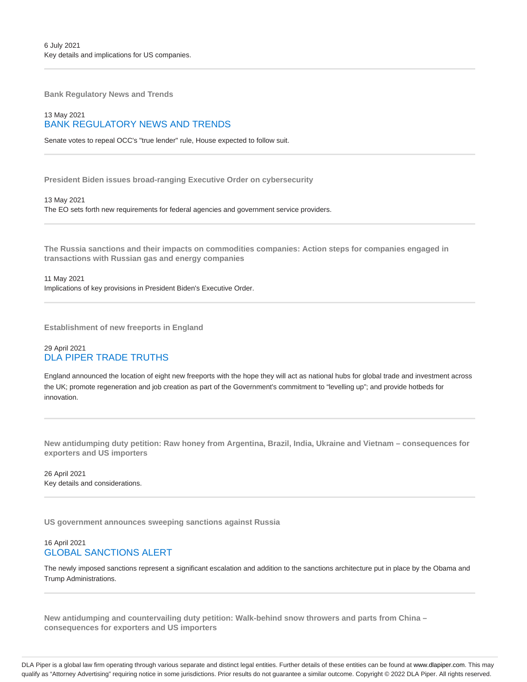**Bank Regulatory News and Trends**

## 13 May 2021 BANK REGULATORY NEWS AND TRENDS

Senate votes to repeal OCC's "true lender" rule, House expected to follow suit.

**President Biden issues broad-ranging Executive Order on cybersecurity**

13 May 2021 The EO sets forth new requirements for federal agencies and government service providers.

**The Russia sanctions and their impacts on commodities companies: Action steps for companies engaged in transactions with Russian gas and energy companies**

11 May 2021 Implications of key provisions in President Biden's Executive Order.

**Establishment of new freeports in England**

## 29 April 2021 DLA PIPER TRADE TRUTHS

England announced the location of eight new freeports with the hope they will act as national hubs for global trade and investment across the UK; promote regeneration and job creation as part of the Government's commitment to "levelling up"; and provide hotbeds for innovation.

**New antidumping duty petition: Raw honey from Argentina, Brazil, India, Ukraine and Vietnam – consequences for exporters and US importers**

26 April 2021 Key details and considerations.

**US government announces sweeping sanctions against Russia**

## 16 April 2021 GLOBAL SANCTIONS ALERT

The newly imposed sanctions represent a significant escalation and addition to the sanctions architecture put in place by the Obama and Trump Administrations.

**New antidumping and countervailing duty petition: Walk-behind snow throwers and parts from China – consequences for exporters and US importers**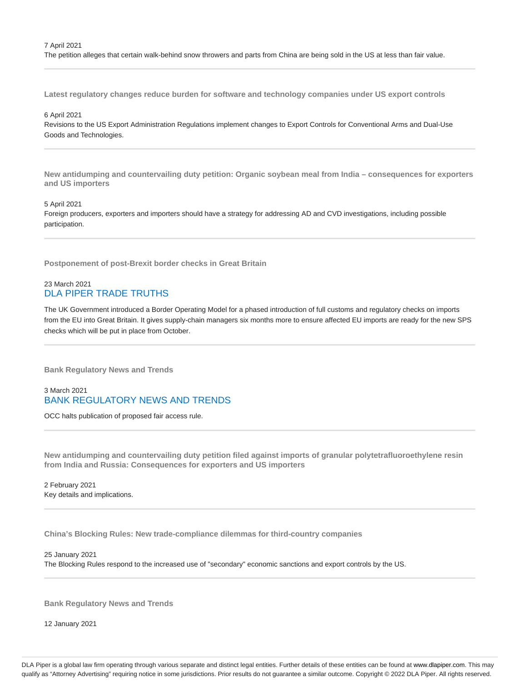The petition alleges that certain walk-behind snow throwers and parts from China are being sold in the US at less than fair value.

**Latest regulatory changes reduce burden for software and technology companies under US export controls**

#### 6 April 2021

Revisions to the US Export Administration Regulations implement changes to Export Controls for Conventional Arms and Dual-Use Goods and Technologies.

**New antidumping and countervailing duty petition: Organic soybean meal from India – consequences for exporters and US importers**

#### 5 April 2021

Foreign producers, exporters and importers should have a strategy for addressing AD and CVD investigations, including possible participation.

**Postponement of post-Brexit border checks in Great Britain**

#### 23 March 2021 DLA PIPER TRADE TRUTHS

The UK Government introduced a Border Operating Model for a phased introduction of full customs and regulatory checks on imports from the EU into Great Britain. It gives supply-chain managers six months more to ensure affected EU imports are ready for the new SPS checks which will be put in place from October.

**Bank Regulatory News and Trends**

#### 3 March 2021 BANK REGULATORY NEWS AND TRENDS

OCC halts publication of proposed fair access rule.

**New antidumping and countervailing duty petition filed against imports of granular polytetrafluoroethylene resin from India and Russia: Consequences for exporters and US importers**

2 February 2021 Key details and implications.

**China's Blocking Rules: New trade-compliance dilemmas for third-country companies**

25 January 2021 The Blocking Rules respond to the increased use of "secondary" economic sanctions and export controls by the US.

**Bank Regulatory News and Trends**

12 January 2021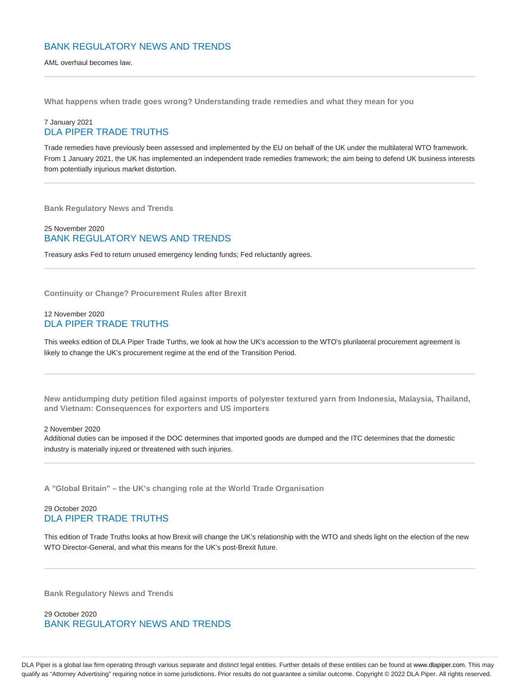## BANK REGULATORY NEWS AND TRENDS

AML overhaul becomes law.

**What happens when trade goes wrong? Understanding trade remedies and what they mean for you**

## 7 January 2021 DLA PIPER TRADE TRUTHS

Trade remedies have previously been assessed and implemented by the EU on behalf of the UK under the multilateral WTO framework. From 1 January 2021, the UK has implemented an independent trade remedies framework; the aim being to defend UK business interests from potentially injurious market distortion.

**Bank Regulatory News and Trends**

## 25 November 2020 BANK REGULATORY NEWS AND TRENDS

Treasury asks Fed to return unused emergency lending funds; Fed reluctantly agrees.

**Continuity or Change? Procurement Rules after Brexit**

#### 12 November 2020 DLA PIPER TRADE TRUTHS

This weeks edition of DLA Piper Trade Turths, we look at how the UK's accession to the WTO's plurilateral procurement agreement is likely to change the UK's procurement regime at the end of the Transition Period.

**New antidumping duty petition filed against imports of polyester textured yarn from Indonesia, Malaysia, Thailand, and Vietnam: Consequences for exporters and US importers**

#### 2 November 2020

Additional duties can be imposed if the DOC determines that imported goods are dumped and the ITC determines that the domestic industry is materially injured or threatened with such injuries.

**A "Global Britain" – the UK's changing role at the World Trade Organisation**

#### 29 October 2020 DLA PIPER TRADE TRUTHS

This edition of Trade Truths looks at how Brexit will change the UK's relationship with the WTO and sheds light on the election of the new WTO Director-General, and what this means for the UK's post-Brexit future.

**Bank Regulatory News and Trends**

29 October 2020 BANK REGULATORY NEWS AND TRENDS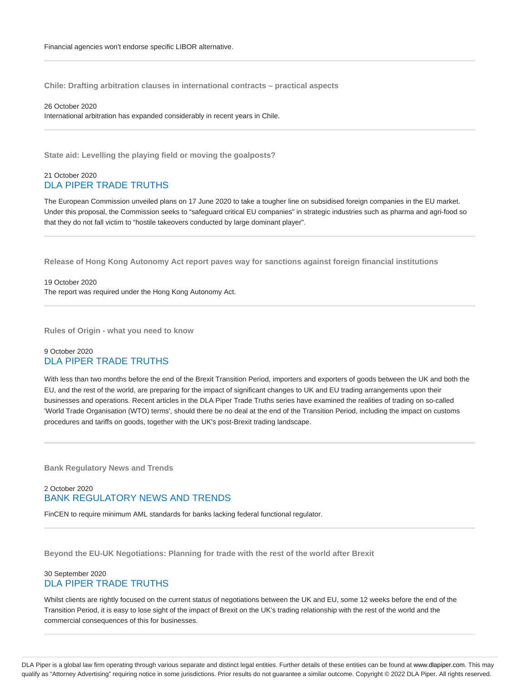**Chile: Drafting arbitration clauses in international contracts – practical aspects**

26 October 2020 International arbitration has expanded considerably in recent years in Chile.

**State aid: Levelling the playing field or moving the goalposts?**

#### 21 October 2020 DLA PIPER TRADE TRUTHS

The European Commission unveiled plans on 17 June 2020 to take a tougher line on subsidised foreign companies in the EU market. Under this proposal, the Commission seeks to "safeguard critical EU companies" in strategic industries such as pharma and agri-food so that they do not fall victim to "hostile takeovers conducted by large dominant player".

**Release of Hong Kong Autonomy Act report paves way for sanctions against foreign financial institutions**

19 October 2020 The report was required under the Hong Kong Autonomy Act.

**Rules of Origin - what you need to know**

## 9 October 2020 DLA PIPER TRADE TRUTHS

With less than two months before the end of the Brexit Transition Period, importers and exporters of goods between the UK and both the EU, and the rest of the world, are preparing for the impact of significant changes to UK and EU trading arrangements upon their businesses and operations. Recent articles in the DLA Piper Trade Truths series have examined the realities of trading on so-called 'World Trade Organisation (WTO) terms', should there be no deal at the end of the Transition Period, including the impact on customs procedures and tariffs on goods, together with the UK's post-Brexit trading landscape.

**Bank Regulatory News and Trends**

#### 2 October 2020 BANK REGULATORY NEWS AND TRENDS

FinCEN to require minimum AML standards for banks lacking federal functional regulator.

**Beyond the EU-UK Negotiations: Planning for trade with the rest of the world after Brexit**

#### 30 September 2020 DLA PIPER TRADE TRUTHS

Whilst clients are rightly focused on the current status of negotiations between the UK and EU, some 12 weeks before the end of the Transition Period, it is easy to lose sight of the impact of Brexit on the UK's trading relationship with the rest of the world and the commercial consequences of this for businesses.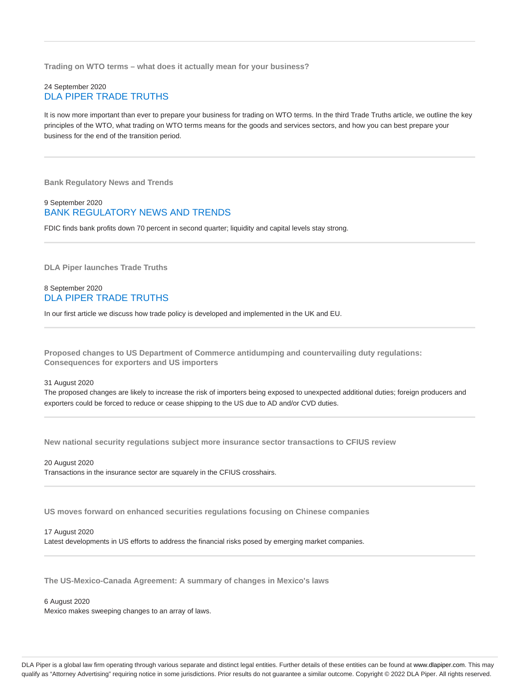**Trading on WTO terms – what does it actually mean for your business?**

#### 24 September 2020 DLA PIPER TRADE TRUTHS

It is now more important than ever to prepare your business for trading on WTO terms. In the third Trade Truths article, we outline the key principles of the WTO, what trading on WTO terms means for the goods and services sectors, and how you can best prepare your business for the end of the transition period.

**Bank Regulatory News and Trends**

#### 9 September 2020 BANK REGULATORY NEWS AND TRENDS

FDIC finds bank profits down 70 percent in second quarter; liquidity and capital levels stay strong.

**DLA Piper launches Trade Truths**

#### 8 September 2020 DLA PIPER TRADE TRUTHS

In our first article we discuss how trade policy is developed and implemented in the UK and EU.

**Proposed changes to US Department of Commerce antidumping and countervailing duty regulations: Consequences for exporters and US importers**

#### 31 August 2020

The proposed changes are likely to increase the risk of importers being exposed to unexpected additional duties; foreign producers and exporters could be forced to reduce or cease shipping to the US due to AD and/or CVD duties.

**New national security regulations subject more insurance sector transactions to CFIUS review**

20 August 2020 Transactions in the insurance sector are squarely in the CFIUS crosshairs.

**US moves forward on enhanced securities regulations focusing on Chinese companies**

#### 17 August 2020

Latest developments in US efforts to address the financial risks posed by emerging market companies.

**The US-Mexico-Canada Agreement: A summary of changes in Mexico's laws**

6 August 2020

Mexico makes sweeping changes to an array of laws.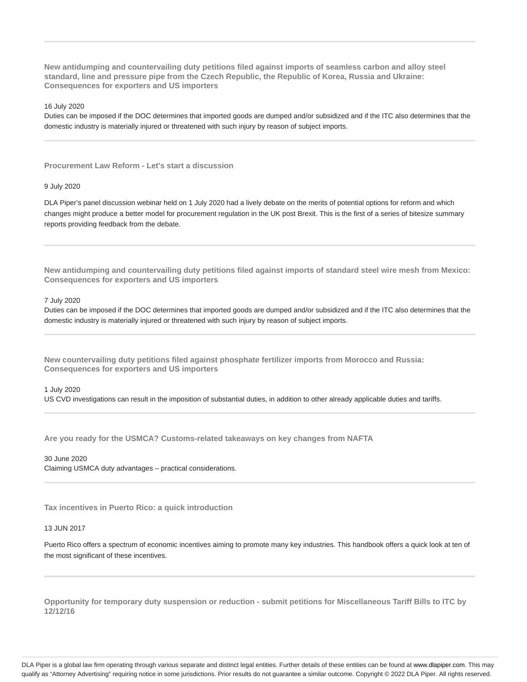**New antidumping and countervailing duty petitions filed against imports of seamless carbon and alloy steel standard, line and pressure pipe from the Czech Republic, the Republic of Korea, Russia and Ukraine: Consequences for exporters and US importers**

16 July 2020

Duties can be imposed if the DOC determines that imported goods are dumped and/or subsidized and if the ITC also determines that the domestic industry is materially injured or threatened with such injury by reason of subject imports.

**Procurement Law Reform - Let's start a discussion**

#### 9 July 2020

DLA Piper's panel discussion webinar held on 1 July 2020 had a lively debate on the merits of potential options for reform and which changes might produce a better model for procurement regulation in the UK post Brexit. This is the first of a series of bitesize summary reports providing feedback from the debate.

**New antidumping and countervailing duty petitions filed against imports of standard steel wire mesh from Mexico: Consequences for exporters and US importers**

#### 7 July 2020

Duties can be imposed if the DOC determines that imported goods are dumped and/or subsidized and if the ITC also determines that the domestic industry is materially injured or threatened with such injury by reason of subject imports.

**New countervailing duty petitions filed against phosphate fertilizer imports from Morocco and Russia: Consequences for exporters and US importers**

#### 1 July 2020

US CVD investigations can result in the imposition of substantial duties, in addition to other already applicable duties and tariffs.

**Are you ready for the USMCA? Customs-related takeaways on key changes from NAFTA**

30 June 2020 Claiming USMCA duty advantages – practical considerations.

**Tax incentives in Puerto Rico: a quick introduction**

#### 13 JUN 2017

Puerto Rico offers a spectrum of economic incentives aiming to promote many key industries. This handbook offers a quick look at ten of the most significant of these incentives.

**Opportunity for temporary duty suspension or reduction - submit petitions for Miscellaneous Tariff Bills to ITC by 12/12/16**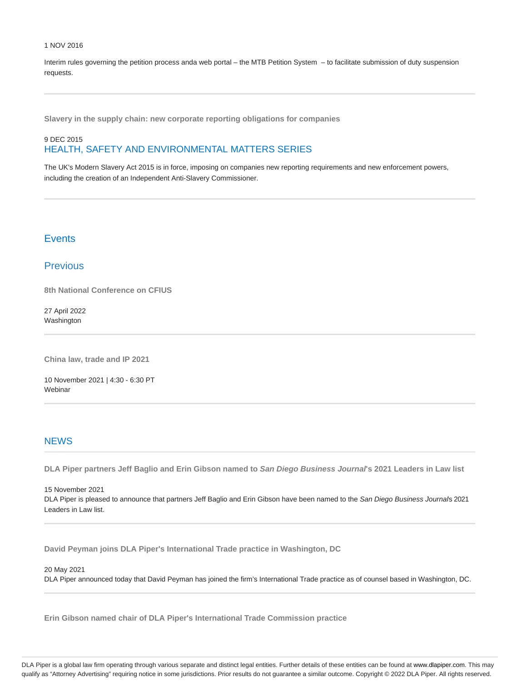#### 1 NOV 2016

Interim rules governing the petition process anda web portal – the MTB Petition System – to facilitate submission of duty suspension requests.

**Slavery in the supply chain: new corporate reporting obligations for companies**

## 9 DEC 2015 HEALTH, SAFETY AND ENVIRONMENTAL MATTERS SERIES

The UK's Modern Slavery Act 2015 is in force, imposing on companies new reporting requirements and new enforcement powers, including the creation of an Independent Anti-Slavery Commissioner.

# **Events**

## **Previous**

**8th National Conference on CFIUS**

27 April 2022 **Washington** 

**China law, trade and IP 2021**

10 November 2021 | 4:30 - 6:30 PT Webinar

## **NEWS**

**DLA Piper partners Jeff Baglio and Erin Gibson named to San Diego Business Journal's 2021 Leaders in Law list**

15 November 2021 DLA Piper is pleased to announce that partners Jeff Baglio and Erin Gibson have been named to the San Diego Business Journals 2021 Leaders in Law list.

**David Peyman joins DLA Piper's International Trade practice in Washington, DC**

20 May 2021

DLA Piper announced today that David Peyman has joined the firm's International Trade practice as of counsel based in Washington, DC.

**Erin Gibson named chair of DLA Piper's International Trade Commission practice**